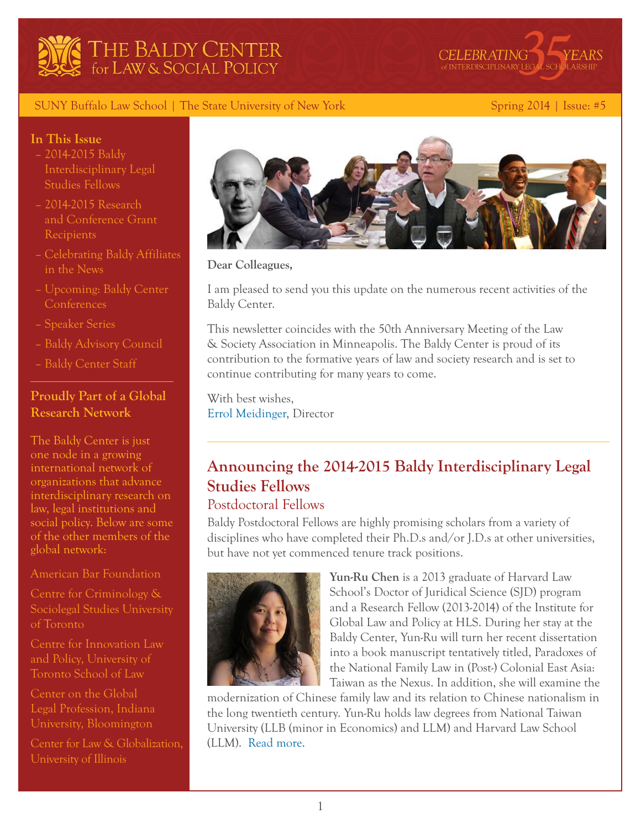



### SUNY Buffalo Law School | The State University of New York Spring 2014 | Issue: #5

### **In This Issue**

- [2014-2015 Baldy](#page-0-0)  [Interdisciplinary Legal](#page-0-0)  [Studies Fellows](#page-0-0)
- [2014-2015 Research](#page-3-0)  [and Conference Grant](#page-3-0)  [Recipients](#page-3-0)
- [Celebrating Baldy Affiliates](#page-6-0)  [in the News](#page-6-0)
- [Upcoming: Baldy Center](#page-6-1)  **[Conferences](#page-6-1)**
- [Speaker Series](#page-4-0)
- [Baldy Advisory Council](#page-8-0)
- Baldy Center Staff

### **Proudly Part of a Global Research Network**

The Baldy Center is just one node in a growing international network of organizations that advance interdisciplinary research on law, legal institutions and social policy. Below are some of the other members of the global network:

[American Bar Foundation](http://www.americanbarfoundation.org/index.html)

[Centre for Criminology &](http://criminology.utoronto.ca/)  [Sociolegal Studies University](http://criminology.utoronto.ca/)  [of Toronto](http://criminology.utoronto.ca/)

[Centre for Innovation Law](http://innovationlaw.org/)  [and Policy, University of](http://innovationlaw.org/)  [Toronto School of Law](http://innovationlaw.org/)

[Center on the Global](http://globalprofession.law.indiana.edu/)  [Legal Profession, Indiana](http://globalprofession.law.indiana.edu/)  [University, Bloomington](http://globalprofession.law.indiana.edu/)

[Center for Law & Globalization,](http://www.lexglobal.org/) [University of Illinois](http://www.lexglobal.org/)



**Dear Colleagues,**

I am pleased to send you this update on the numerous recent activities of the Baldy Center.

This newsletter coincides with the 50th Anniversary Meeting of the Law & Society Association in Minneapolis. The Baldy Center is proud of its contribution to the formative years of law and society research and is set to continue contributing for many years to come.

With best wishes, [Errol Meidinger,](http://web2.law.buffalo.edu/faculty/meidinger/index.htm) Director

# <span id="page-0-0"></span>**Announcing the 2014-2015 Baldy Interdisciplinary Legal Studies Fellows**

# Postdoctoral Fellows

Baldy Postdoctoral Fellows are highly promising scholars from a variety of disciplines who have completed their Ph.D.s and/or J.D.s at other universities, but have not yet commenced tenure track positions.



**Yun-Ru Chen** is a 2013 graduate of Harvard Law School's Doctor of Juridical Science (SJD) program and a Research Fellow (2013-2014) of the Institute for Global Law and Policy at HLS. During her stay at the Baldy Center, Yun-Ru will turn her recent dissertation into a book manuscript tentatively titled, Paradoxes of the National Family Law in (Post-) Colonial East Asia: Taiwan as the Nexus. In addition, she will examine the

modernization of Chinese family law and its relation to Chinese nationalism in the long twentieth century. Yun-Ru holds law degrees from National Taiwan University (LLB (minor in Economics) and LLM) and Harvard Law School (LLM). [Read more.](http://baldycenter.info/cgi-bin//navigation.cgi?page_id=92&parent_id=26)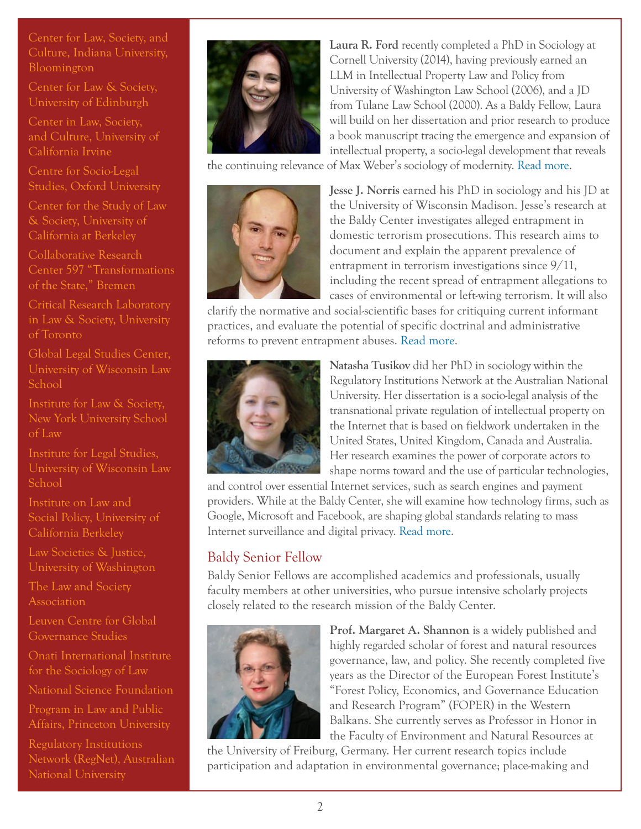[Center for Law, Society, and](http://law.indiana.edu/centers/lawsociety/about.shtml)  [Culture, Indiana University,](http://law.indiana.edu/centers/lawsociety/about.shtml)  [Bloomington](http://law.indiana.edu/centers/lawsociety/about.shtml)

[Center for Law & Society,](http://www.cls.ed.ac.uk/)  [University of Edinburgh](http://www.cls.ed.ac.uk/)

[Center in Law, Society,](http://clsc.soceco.uci.edu/)  [and Culture, University of](http://clsc.soceco.uci.edu/)  [California Irvine](http://clsc.soceco.uci.edu/)

[Centre for Socio-Legal](http://www.csls.ox.ac.uk/home.php)  [Studies, Oxford University](http://www.csls.ox.ac.uk/home.php)

[Center for the Study of Law](http://www.law.berkeley.edu/csls.htm)  [& Society, University of](http://www.law.berkeley.edu/csls.htm)  [California at Berkeley](http://www.law.berkeley.edu/csls.htm)

[Collaborative Research](http://www.sfb597.uni-bremen.de/)  [Center 597 "Transformations](http://www.sfb597.uni-bremen.de/)  [of the State," Bremen](http://www.sfb597.uni-bremen.de/)

[Critical Research Laboratory](http://www.criticalresearchlab.org/crl/home)  [in Law & Society, University](http://www.criticalresearchlab.org/crl/home)  [of Toronto](http://www.criticalresearchlab.org/crl/home)

[Global Legal Studies Center,](http://www.law.wisc.edu/gls/)  [University of Wisconsin Law](http://www.law.wisc.edu/gls/)  [School](http://www.law.wisc.edu/gls/)

Institute for Law & Society, New York University School of Law

[Institute for Legal Studies,](http://law.wisc.edu/ils/)  [University of Wisconsin Law](http://law.wisc.edu/ils/)  [School](http://law.wisc.edu/ils/)

[Institute on Law and](http://www.law.berkeley.edu/ewi.htm)  [Social Policy, University of](http://www.law.berkeley.edu/ewi.htm)  [California Berkeley](http://www.law.berkeley.edu/ewi.htm)

[Law Societies & Justice,](http://depts.washington.edu/lsjweb/)  [University of Washington](http://depts.washington.edu/lsjweb/)

[The Law and Society](http://www.lawandsociety.org/)  [Association](http://www.lawandsociety.org/)

[Leuven Centre for Global](http://ghum.kuleuven.be/ggs)  [Governance Studies](http://ghum.kuleuven.be/ggs)

[Onati International Institute](http://www.iisj.net/english.asp)  [for the Sociology of Law](http://www.iisj.net/english.asp)

[National Science Foundation](http://www.nsf.gov/funding/pgm_summ.jsp?pims_id=504727)

[Program in Law and Public](http://lapa.princeton.edu/)  [Affairs, Princeton University](http://lapa.princeton.edu/)

[Regulatory Institutions](http://regnet.anu.edu.au/)  [Network \(RegNet\), Australian](http://regnet.anu.edu.au/)  [National University](http://regnet.anu.edu.au/)



**Laura R. Ford** recently completed a PhD in Sociology at Cornell University (2014), having previously earned an LLM in Intellectual Property Law and Policy from University of Washington Law School (2006), and a JD from Tulane Law School (2000). As a Baldy Fellow, Laura will build on her dissertation and prior research to produce a book manuscript tracing the emergence and expansion of intellectual property, a socio-legal development that reveals

the continuing relevance of Max Weber's sociology of modernity. [Read more.](http://baldycenter.info/cgi-bin//navigation.cgi?page_id=92&parent_id=26)



**Jesse J. Norris** earned his PhD in sociology and his JD at the University of Wisconsin Madison. Jesse's research at the Baldy Center investigates alleged entrapment in domestic terrorism prosecutions. This research aims to document and explain the apparent prevalence of entrapment in terrorism investigations since  $9/11$ , including the recent spread of entrapment allegations to cases of environmental or left-wing terrorism. It will also

clarify the normative and social-scientific bases for critiquing current informant practices, and evaluate the potential of specific doctrinal and administrative reforms to prevent entrapment abuses. [Read more](http://baldycenter.info/cgi-bin//navigation.cgi?page_id=92&parent_id=26).



**Natasha Tusikov** did her PhD in sociology within the Regulatory Institutions Network at the Australian National University. Her dissertation is a socio-legal analysis of the transnational private regulation of intellectual property on the Internet that is based on fieldwork undertaken in the United States, United Kingdom, Canada and Australia. Her research examines the power of corporate actors to shape norms toward and the use of particular technologies,

and control over essential Internet services, such as search engines and payment providers. While at the Baldy Center, she will examine how technology firms, such as Google, Microsoft and Facebook, are shaping global standards relating to mass Internet surveillance and digital privacy. [Read more.](http://baldycenter.info/cgi-bin//navigation.cgi?page_id=92&parent_id=26)

# Baldy Senior Fellow

Baldy Senior Fellows are accomplished academics and professionals, usually faculty members at other universities, who pursue intensive scholarly projects closely related to the research mission of the Baldy Center.



**Prof. Margaret A. Shannon** is a widely published and highly regarded scholar of forest and natural resources governance, law, and policy. She recently completed five years as the Director of the European Forest Institute's "Forest Policy, Economics, and Governance Education and Research Program" (FOPER) in the Western Balkans. She currently serves as Professor in Honor in the Faculty of Environment and Natural Resources at

the University of Freiburg, Germany. Her current research topics include participation and adaptation in environmental governance; place-making and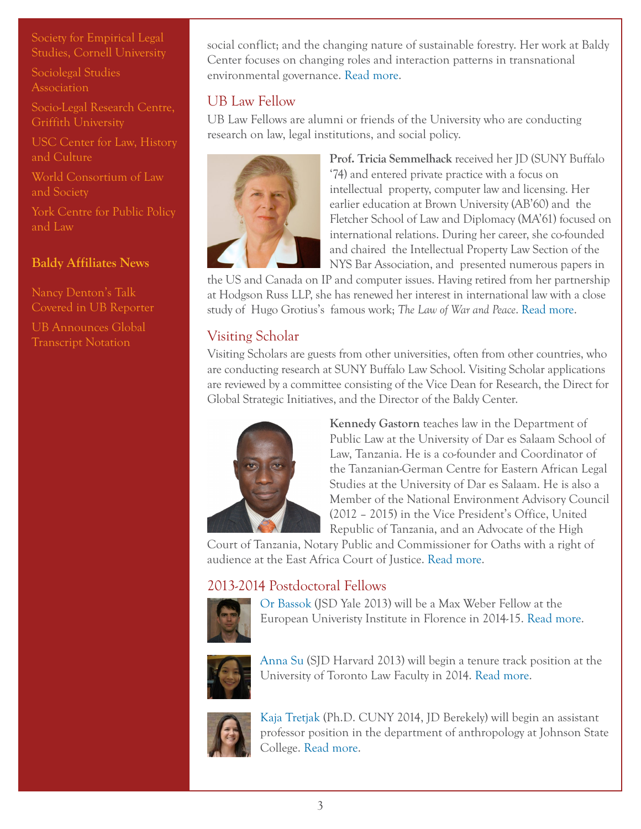[Society for Empirical Legal](http://www.lawschool.cornell.edu/sels/)  [Studies, Cornell University](http://www.lawschool.cornell.edu/sels/)

[Sociolegal Studies](http://www.slsa.ac.uk/)  **[Association](http://www.slsa.ac.uk/)** 

[Socio-Legal Research Centre,](http://www.griffith.edu.au/criminology-law/socio-legal-research-centre)  [Griffith University](http://www.griffith.edu.au/criminology-law/socio-legal-research-centre)

[USC Center for Law, History](http://lawweb.usc.edu/centers/clhc/home.htm)  [and Culture](http://lawweb.usc.edu/centers/clhc/home.htm)

[World Consortium of Law](http://lawandsocietyworld.org/)  [and Society](http://lawandsocietyworld.org/)

[York Centre for Public Policy](http://ycppl.info.yorku.ca/)  [and Law](http://ycppl.info.yorku.ca/)

# **Baldy Affiliates News**

[Nancy Denton's Talk](http://www.buffalo.edu/ubreporter/campus/campus-host-page.host.html/content/shared/university/news/ub-reporter-articles/stories/2013/denton_segregation.detail.html)  [Covered in UB Reporter](http://www.buffalo.edu/ubreporter/campus/campus-host-page.host.html/content/shared/university/news/ub-reporter-articles/stories/2013/denton_segregation.detail.html)

[UB Announces Global](http://www.buffalo.edu/ubreporter/campus/campus-host-page.host.html/content/shared/university/news/ub-reporter-articles/stories/2013/global_transcript_notation.detail.html)  [Transcript Notation](http://www.buffalo.edu/ubreporter/campus/campus-host-page.host.html/content/shared/university/news/ub-reporter-articles/stories/2013/global_transcript_notation.detail.html)

social conflict; and the changing nature of sustainable forestry. Her work at Baldy Center focuses on changing roles and interaction patterns in transnational environmental governance. [Read more.](http://baldycenter.info/cgi-bin//navigation.cgi?page_id=106&parent_id=26)

# UB Law Fellow

UB Law Fellows are alumni or friends of the University who are conducting research on law, legal institutions, and social policy.



**Prof. Tricia Semmelhack** received her JD (SUNY Buffalo '74) and entered private practice with a focus on intellectual property, computer law and licensing. Her earlier education at Brown University (AB'60) and the Fletcher School of Law and Diplomacy (MA'61) focused on international relations. During her career, she co-founded and chaired the Intellectual Property Law Section of the NYS Bar Association, and presented numerous papers in

the US and Canada on IP and computer issues. Having retired from her partnership at Hodgson Russ LLP, she has renewed her interest in international law with a close study of Hugo Grotius's famous work; *The Law of War and Peace*. [Read more](http://baldycenter.info/cgi-bin//navigation.cgi?page_id=106&parent_id=26).

# Visiting Scholar

Visiting Scholars are guests from other universities, often from other countries, who are conducting research at SUNY Buffalo Law School. Visiting Scholar applications are reviewed by a committee consisting of the Vice Dean for Research, the Direct for Global Strategic Initiatives, and the Director of the Baldy Center.



**Kennedy Gastorn** teaches law in the Department of Public Law at the University of Dar es Salaam School of Law, Tanzania. He is a co-founder and Coordinator of the Tanzanian-German Centre for Eastern African Legal Studies at the University of Dar es Salaam. He is also a Member of the National Environment Advisory Council (2012 – 2015) in the Vice President's Office, United Republic of Tanzania, and an Advocate of the High

Court of Tanzania, Notary Public and Commissioner for Oaths with a right of audience at the East Africa Court of Justice. [Read more](http://baldycenter.info/cgi-bin//navigation.cgi?page_id=107&parent_id=26).

# 2013-2014 Postdoctoral Fellows



[Or Bassok](http://baldycenter.info/cgi-bin//navigation.cgi?page_id=105&parent_id=26) (JSD Yale 2013) will be a Max Weber Fellow at the European Univeristy Institute in Florence in 2014-15. [Read more](http://baldycenter.info/cgi-bin//navigation.cgi?page_id=105&parent_id=26).



[Anna Su](http://baldycenter.info/cgi-bin//navigation.cgi?page_id=105&parent_id=26) (SJD Harvard 2013) will begin a tenure track position at the University of Toronto Law Faculty in 2014. [Read more.](http://baldycenter.info/cgi-bin//navigation.cgi?page_id=105&parent_id=26)



[Kaja Tretjak](http://baldycenter.info/cgi-bin//navigation.cgi?page_id=105&parent_id=26) (Ph.D. CUNY 2014, JD Berekely) will begin an assistant professor position in the department of anthropology at Johnson State College. [Read more.](http://baldycenter.info/cgi-bin//navigation.cgi?page_id=105&parent_id=26)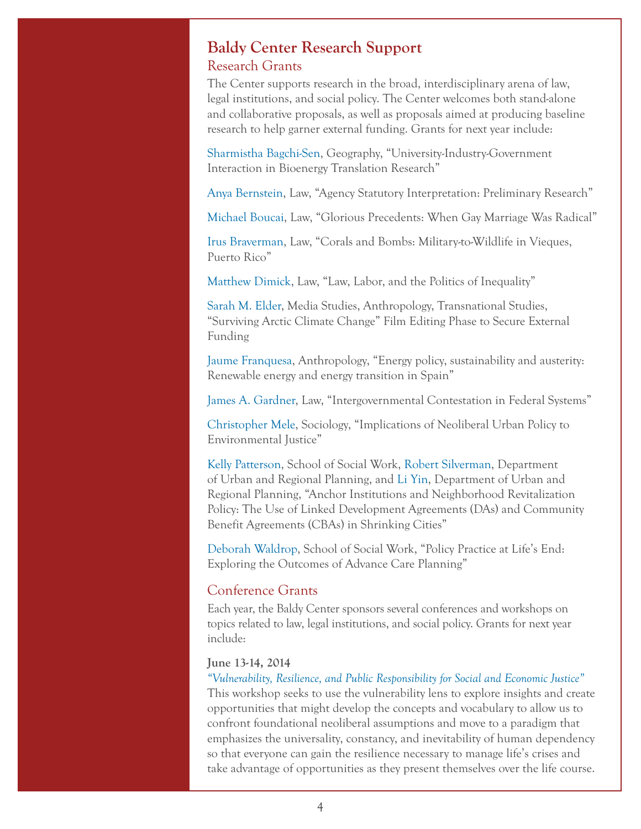# <span id="page-3-0"></span>**Baldy Center Research Support** Research Grants

The Center supports research in the broad, interdisciplinary arena of law, legal institutions, and social policy. The Center welcomes both stand-alone and collaborative proposals, as well as proposals aimed at producing baseline research to help garner external funding. Grants for next year include:

[Sharmistha Bagchi-Sen](http://www.acsu.buffalo.edu/~geosbs/), Geography, "University-Industry-Government Interaction in Bioenergy Translation Research"

[Anya Bernstein](http://www.law.buffalo.edu/faculty/facultyDirectory/bernsteinAnya.html), Law, "Agency Statutory Interpretation: Preliminary Research"

[Michael Boucai](http://www.law.buffalo.edu/faculty/facultyDirectory/BoucaiMichael.html), Law, "Glorious Precedents: When Gay Marriage Was Radical"

[Irus Braverman,](http://www.law.buffalo.edu/faculty/facultyDirectory/BravermanIrus.html) Law, "Corals and Bombs: Military-to-Wildlife in Vieques, Puerto Rico"

[Matthew Dimick,](http://www.law.buffalo.edu/faculty/facultyDirectory/DimickMatthew.html) Law, "Law, Labor, and the Politics of Inequality"

[Sarah M. Elder,](http://mediastudy.buffalo.edu/people/sarah-elder/) Media Studies, Anthropology, Transnational Studies, "Surviving Arctic Climate Change" Film Editing Phase to Secure External Funding

[Jaume Franquesa](http://anthropology.buffalo.edu/people/faculty/franquesa/), Anthropology, "Energy policy, sustainability and austerity: Renewable energy and energy transition in Spain"

[James A. Gardner](http://www.law.buffalo.edu/faculty/facultyDirectory/GardnerJames.html), Law, "Intergovernmental Contestation in Federal Systems"

[Christopher Mele](http://sociology.buffalo.edu/faculty_staff/faculty/mele/), Sociology, "Implications of Neoliberal Urban Policy to Environmental Justice"

[Kelly Patterson,](http://www.socialwork.buffalo.edu/facstaff/scripts/faculty_page.asp) School of Social Work, [Robert Silverman](http://ap.buffalo.edu/People/faculty/department-of-urban-and-regional-planning-faculty.host.html/content/shared/ap/students-faculty-alumni/faculty/Silverman.detail.html), Department of Urban and Regional Planning, and [Li Yin,](http://ap.buffalo.edu/People/faculty/department-of-urban-and-regional-planning-faculty.host.html/content/shared/ap/students-faculty-alumni/faculty/Yin.detail.html) Department of Urban and Regional Planning, "Anchor Institutions and Neighborhood Revitalization Policy: The Use of Linked Development Agreements (DAs) and Community Benefit Agreements (CBAs) in Shrinking Cities"

[Deborah Waldrop](http://www.socialwork.buffalo.edu/facstaff/scripts/faculty_page.asp), School of Social Work, "Policy Practice at Life's End: Exploring the Outcomes of Advance Care Planning"

### Conference Grants

Each year, the Baldy Center sponsors several conferences and workshops on topics related to law, legal institutions, and social policy. Grants for next year include:

#### **June 13-14, 2014**

*["Vulnerability, Resilience, and Public Responsibility for Social and Economic Justice"](http://classcrits.wordpress.com/2014/01/29/call-for-papers-vulnerability-resilience-and-public-responsibility-for-social-and-economic-justice/)* This workshop seeks to use the vulnerability lens to explore insights and create opportunities that might develop the concepts and vocabulary to allow us to confront foundational neoliberal assumptions and move to a paradigm that emphasizes the universality, constancy, and inevitability of human dependency so that everyone can gain the resilience necessary to manage life's crises and take advantage of opportunities as they present themselves over the life course.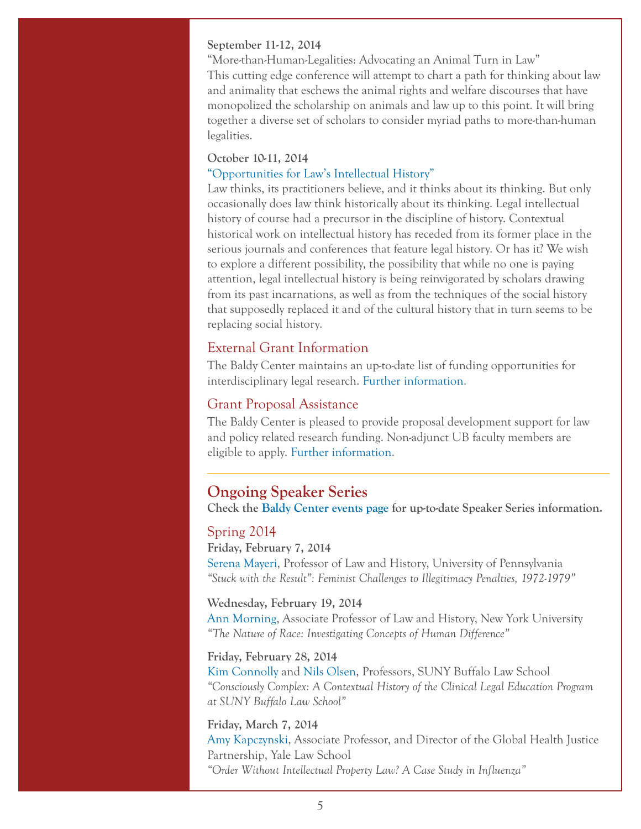#### **September 11-12, 2014**

"More-than-Human-Legalities: Advocating an Animal Turn in Law" This cutting edge conference will attempt to chart a path for thinking about law and animality that eschews the animal rights and welfare discourses that have monopolized the scholarship on animals and law up to this point. It will bring together a diverse set of scholars to consider myriad paths to more-than-human legalities.

#### **October 10-11, 2014**

#### ["Opportunities for Law's Intellectual History"](http://legalhistoryblog.blogspot.com/2014/02/opportunities-for-laws-intellectual.html?utm_source=twitterfeed&utm_medium=twitter)

Law thinks, its practitioners believe, and it thinks about its thinking. But only occasionally does law think historically about its thinking. Legal intellectual history of course had a precursor in the discipline of history. Contextual historical work on intellectual history has receded from its former place in the serious journals and conferences that feature legal history. Or has it? We wish to explore a different possibility, the possibility that while no one is paying attention, legal intellectual history is being reinvigorated by scholars drawing from its past incarnations, as well as from the techniques of the social history that supposedly replaced it and of the cultural history that in turn seems to be replacing social history.

### External Grant Information

The Baldy Center maintains an up-to-date list of funding opportunities for interdisciplinary legal research. [Further information.](http://baldycenter.info/cgi-bin//navigation.cgi?page_id=99&parent_id=18)

### Grant Proposal Assistance

The Baldy Center is pleased to provide proposal development support for law and policy related research funding. Non-adjunct UB faculty members are eligible to apply. [Further information](http://baldycenter.info/cgi-bin/navigation.cgi?page_id=78&parent_id=18).

### <span id="page-4-0"></span>**Ongoing Speaker Series**

**Check the [Baldy Center events page](http://baldycenter.info/cgi-bin/events/display_speakers.cgi?page_id=85&parent_id=3) for up-to-date Speaker Series information.**

#### Spring 2014

**Friday, February 7, 2014** [Serena Mayeri,](https://www.law.upenn.edu/cf/faculty/smayeri/) Professor of Law and History, University of Pennsylvania *"Stuck with the Result": Feminist Challenges to Illegitimacy Penalties, 1972-1979"*

#### **Wednesday, February 19, 2014**

[Ann Morning](http://sociology.as.nyu.edu/object/annmorning.html), Associate Professor of Law and History, New York University *"The Nature of Race: Investigating Concepts of Human Difference"*

#### **Friday, February 28, 2014**

[Kim Connolly](http://www.law.buffalo.edu/faculty/facultyDirectory/ConnollyKimDiana.html) and [Nils Olsen](http://www.law.buffalo.edu/faculty/facultyDirectory/OlsenNils.html), Professors, SUNY Buffalo Law School *"Consciously Complex: A Contextual History of the Clinical Legal Education Program at SUNY Buffalo Law School"*

### **Friday, March 7, 2014**

[Amy Kapczynski](http://www.law.yale.edu/faculty/AKapczynski.htm), Associate Professor, and Director of the Global Health Justice Partnership, Yale Law School *"Order Without Intellectual Property Law? A Case Study in Influenza"*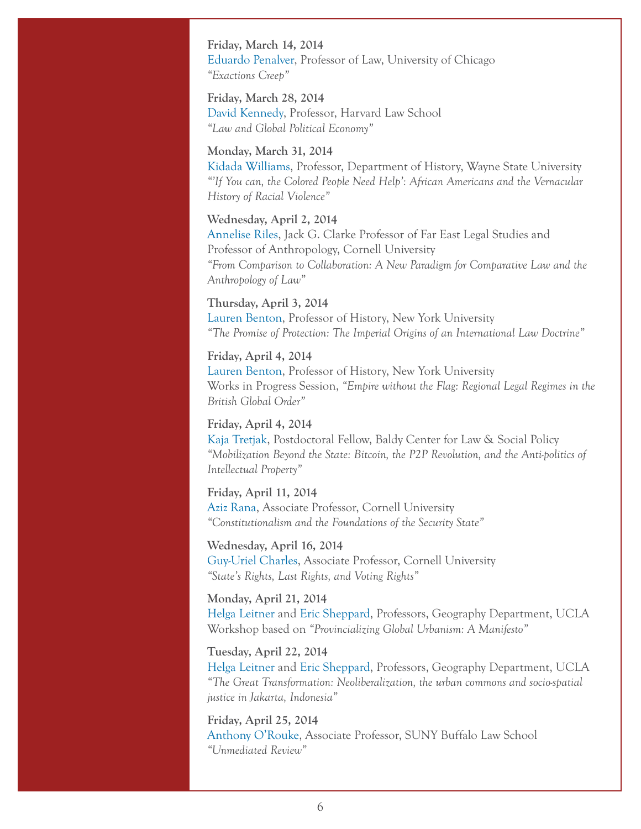**Friday, March 14, 2014** [Eduardo Penalver](http://www.lawschool.cornell.edu/faculty/bio.cfm?id=155), Professor of Law, University of Chicago *"Exactions Creep"*

**Friday, March 28, 2014** [David Kennedy,](http://www.law.harvard.edu/faculty/dkennedy/) Professor, Harvard Law School *"Law and Global Political Economy"*

#### **Monday, March 31, 2014**

[Kidada Williams](http://clasweb.clas.wayne.edu/kidada-williams), Professor, Department of History, Wayne State University *"'If You can, the Colored People Need Help': African Americans and the Vernacular History of Racial Violence"*

#### **Wednesday, April 2, 2014**

[Annelise Riles,](http://www.lawschool.cornell.edu/faculty/bio.cfm?id=62) Jack G. Clarke Professor of Far East Legal Studies and Professor of Anthropology, Cornell University *"From Comparison to Collaboration: A New Paradigm for Comparative Law and the Anthropology of Law"*

# **Thursday, April 3, 2014**

[Lauren Benton,](http://history.as.nyu.edu/object/laurenbenton.html) Professor of History, New York University *"The Promise of Protection: The Imperial Origins of an International Law Doctrine"*

#### **Friday, April 4, 2014**

[Lauren Benton,](http://history.as.nyu.edu/object/laurenbenton.html) Professor of History, New York University Works in Progress Session, *"Empire without the Flag: Regional Legal Regimes in the British Global Order"*

#### **Friday, April 4, 2014**

[Kaja Tretjak](http://baldycenter.info/cgi-bin//navigation.cgi?page_id=105&parent_id=26), Postdoctoral Fellow, Baldy Center for Law & Social Policy *"Mobilization Beyond the State: Bitcoin, the P2P Revolution, and the Anti-politics of Intellectual Property"*

#### **Friday, April 11, 2014**

[Aziz Rana,](http://www.lawschool.cornell.edu/faculty/bio.cfm?id=389) Associate Professor, Cornell University *"Constitutionalism and the Foundations of the Security State"*

**Wednesday, April 16, 2014** [Guy-Uriel Charles](http://law.duke.edu/fac/charles/), Associate Professor, Cornell University *"State's Rights, Last Rights, and Voting Rights"*

### **Monday, April 21, 2014**

[Helga Leitner](http://www.geog.ucla.edu/people/helga-leitner) and [Eric Sheppard,](http://www.geog.ucla.edu/people/eric-sheppard) Professors, Geography Department, UCLA Workshop based on *"Provincializing Global Urbanism: A Manifesto"*

#### **Tuesday, April 22, 2014**

[Helga Leitner](http://www.geog.ucla.edu/people/helga-leitner) and [Eric Sheppard,](http://www.geog.ucla.edu/people/eric-sheppard) Professors, Geography Department, UCLA *"The Great Transformation: Neoliberalization, the urban commons and socio-spatial justice in Jakarta, Indonesia"*

**Friday, April 25, 2014** [Anthony O'Rouke,](http://www.law.buffalo.edu/faculty/facultyDirectory/ORourkeAnthony.html) Associate Professor, SUNY Buffalo Law School *"Unmediated Review"*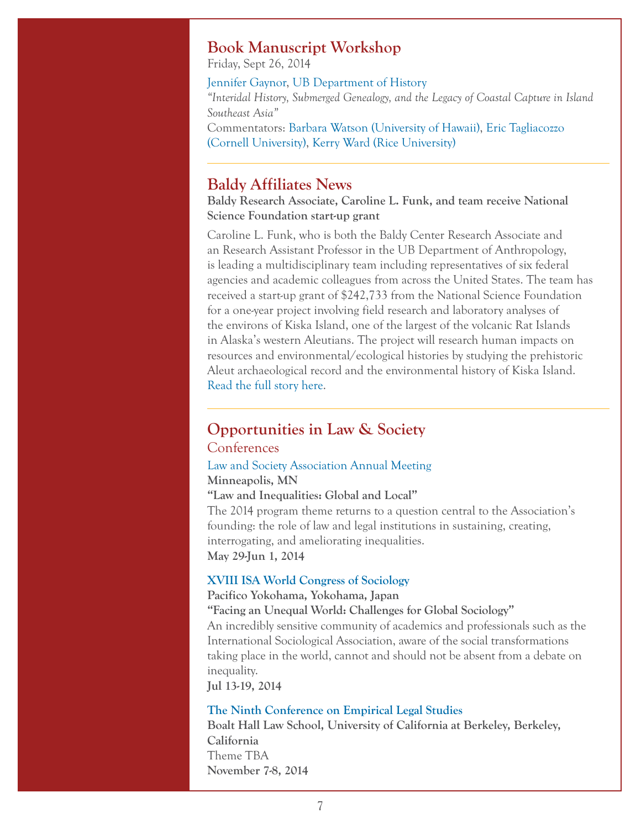# **Book Manuscript Workshop**

Friday, Sept 26, 2014

[Jennifer Gaynor,](http://www.history.buffalo.edu/people/gaynor.shtml) [UB Department of History](http://www.history.buffalo.edu/) *"Interidal History, Submerged Genealogy, and the Legacy of Coastal Capture in Island Southeast Asia"* Commentators: [Barbara Watson \(University of Hawaii\),](http://www2.hawaii.edu/~bandaya/) [Eric Tagliacozzo](http://history.arts.cornell.edu/faculty-department-tagliacozzo.php)  [\(Cornell University\)](http://history.arts.cornell.edu/faculty-department-tagliacozzo.php), [Kerry Ward \(Rice University\)](http://history.rice.edu/Ward/)

# <span id="page-6-0"></span>**Baldy Affiliates News**

**Baldy Research Associate, Caroline L. Funk, and team receive National Science Foundation start-up grant**

Caroline L. Funk, who is both the Baldy Center Research Associate and an Research Assistant Professor in the UB Department of Anthropology, is leading a multidisciplinary team including representatives of six federal agencies and academic colleagues from across the United States. The team has received a start-up grant of \$242,733 from the National Science Foundation for a one-year project involving field research and laboratory analyses of the environs of Kiska Island, one of the largest of the volcanic Rat Islands in Alaska's western Aleutians. The project will research human impacts on resources and environmental/ecological histories by studying the prehistoric Aleut archaeological record and the environmental history of Kiska Island. [Read the full story here.](http://www.buffalo.edu/ubreporter/research/news.host.html/content/shared/university/news/ub-reporter-articles/stories/2014/March/funk_kiska_island.detail.html)

# <span id="page-6-1"></span>**Opportunities in Law & Society**

### Conferences

#### [Law and Society Association Annual Meeting](http://www.lawandsociety.org/minneapolis2014/Minneapolis2014.html) **Minneapolis, MN**

#### **"Law and Inequalities: Global and Local"**

The 2014 program theme returns to a question central to the Association's founding: the role of law and legal institutions in sustaining, creating, interrogating, and ameliorating inequalities. **May 29-Jun 1, 2014**

### **[XVIII ISA World Congress of Sociology](http://www.isa-sociology.org/congress2014/)**

#### **Pacifico Yokohama, Yokohama, Japan**

**"Facing an Unequal World: Challenges for Global Sociology"** An incredibly sensitive community of academics and professionals such as the International Sociological Association, aware of the social transformations taking place in the world, cannot and should not be absent from a debate on inequality.

**Jul 13-19, 2014**

#### **[The Ninth Conference on Empirical Legal Studies](http://www.lawschool.cornell.edu/SELS/conferences.cfm)**

**Boalt Hall Law School, University of California at Berkeley, Berkeley, California** Theme TBA **November 7-8, 2014**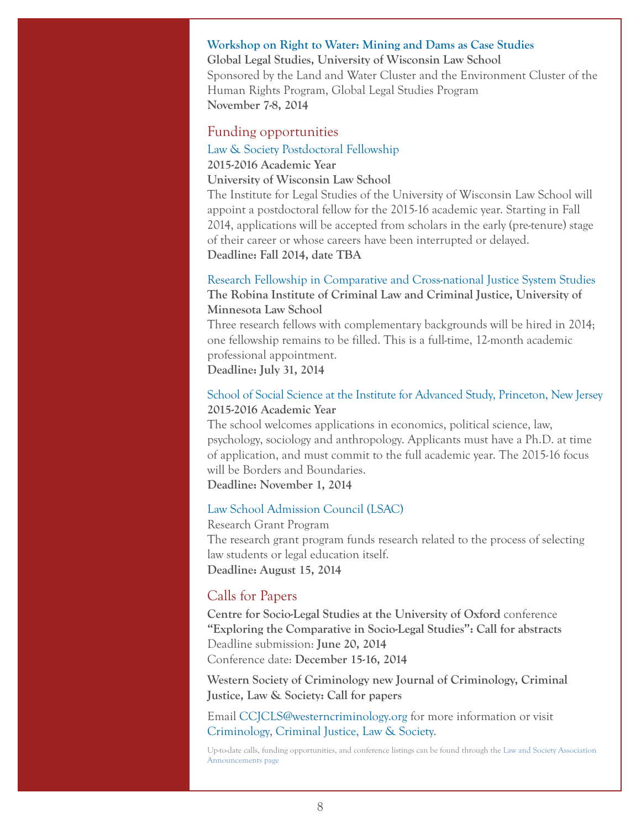#### **[Workshop on Right to Water: Mining and Dams as Case Studies](http://www.law.wisc.edu/gls/events.html)**

**Global Legal Studies, University of Wisconsin Law School** Sponsored by the Land and Water Cluster and the Environment Cluster of the Human Rights Program, Global Legal Studies Program **November 7-8, 2014**

### Funding opportunities

[Law & Society Postdoctoral Fellowship](http://law.wisc.edu/ils/lawandsocietyfellowship.html)

# **2015-2016 Academic Year**

**University of Wisconsin Law School**

The Institute for Legal Studies of the University of Wisconsin Law School will appoint a postdoctoral fellow for the 2015-16 academic year. Starting in Fall 2014, applications will be accepted from scholars in the early (pre-tenure) stage of their career or whose careers have been interrupted or delayed. **Deadline: Fall 2014, date TBA**

### [Research Fellowship in Comparative and Cross-national Justice System Studies](http://www.robinainstitute.org/wp-content/uploads/Crossnational-Research-Fellowship-Job-Post.pdf) **The Robina Institute of Criminal Law and Criminal Justice, University of Minnesota Law School**

Three research fellows with complementary backgrounds will be hired in 2014; one fellowship remains to be filled. This is a full-time, 12-month academic professional appointment.

**Deadline: July 31, 2014**

### [School of Social Science at the Institute for Advanced Study, Princeton, New Jersey](http://www.sss.ias.edu/applications) **2015-2016 Academic Year**

The school welcomes applications in economics, political science, law, psychology, sociology and anthropology. Applicants must have a Ph.D. at time of application, and must commit to the full academic year. The 2015-16 focus will be Borders and Boundaries. **Deadline: November 1, 2014**

#### [Law School Admission Council \(LSAC\)](http://www.lsac.org/lsacresources/grants/lsac-research)

Research Grant Program The research grant program funds research related to the process of selecting law students or legal education itself. **Deadline: August 15, 2014**

### Calls for Papers

**Centre for Socio-Legal Studies at the University of Oxford** conference **"Exploring the Comparative in Socio-Legal Studies": Call for abstracts** Deadline submission: **June 20, 2014** Conference date: **December 15-16, 2014**

**Western Society of Criminology new Journal of Criminology, Criminal Justice, Law & Society: Call for papers**

Email [CCJCLS@westerncriminology.org](mailto:CCJCLS%40westerncriminology.org?subject=) for more information or visit [Criminology, Criminal Justice, Law & Society](https://scholasticahq.com/criminology-criminal-justice-law-society).

Up-to-date calls, funding opportunities, and conference listings can be found through the [Law and Society Association](http://www.lawandsociety.org/announcements.html)  [Announcements page](http://www.lawandsociety.org/announcements.html)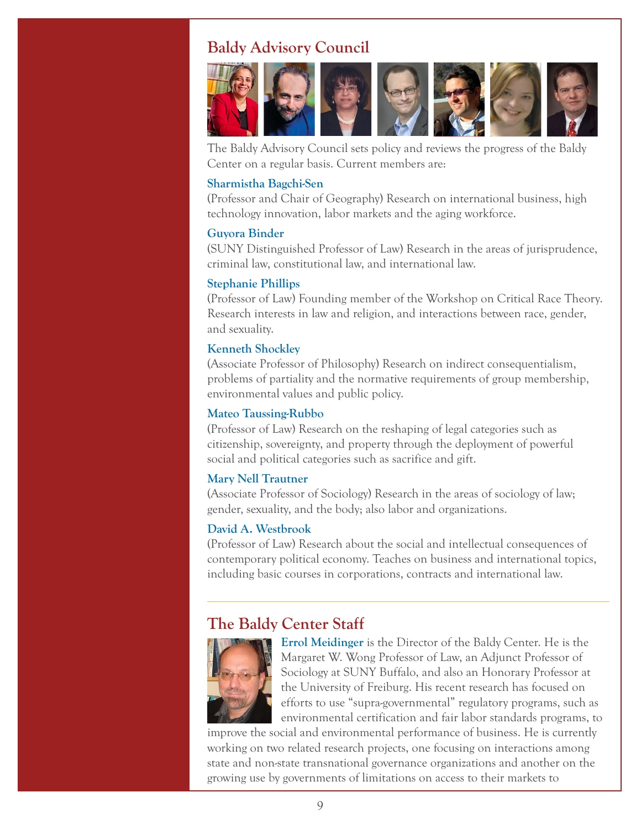# <span id="page-8-0"></span>**Baldy Advisory Council**



The Baldy Advisory Council sets policy and reviews the progress of the Baldy Center on a regular basis. Current members are:

#### **[Sharmistha Bagchi-Sen](http://www.acsu.buffalo.edu/~geosbs/)**

(Professor and Chair of Geography) Research on international business, high technology innovation, labor markets and the aging workforce.

#### **[Guyora Binder](http://www.law.buffalo.edu/faculty/facultyDirectory/BinderGuyora.html)**

(SUNY Distinguished Professor of Law) Research in the areas of jurisprudence, criminal law, constitutional law, and international law.

#### **[Stephanie Phillips](http://www.law.buffalo.edu/faculty/facultyDirectory/PhillipsStephanie.html)**

(Professor of Law) Founding member of the Workshop on Critical Race Theory. Research interests in law and religion, and interactions between race, gender, and sexuality.

#### **[Kenneth Shockley](http://philosophy.buffalo.edu/people/faculty/shockley/)**

(Associate Professor of Philosophy) Research on indirect consequentialism, problems of partiality and the normative requirements of group membership, environmental values and public policy.

#### **[Mateo Taussing-Rubbo](http://www.law.buffalo.edu/faculty/facultyDirectory/TaussigRubboMateo.html)**

(Professor of Law) Research on the reshaping of legal categories such as citizenship, sovereignty, and property through the deployment of powerful social and political categories such as sacrifice and gift.

#### **[Mary Nell Trautner](http://sociology.buffalo.edu/faculty_staff/faculty/trautner/)**

(Associate Professor of Sociology) Research in the areas of sociology of law; gender, sexuality, and the body; also labor and organizations.

### **[David A. Westbrook](http://www.law.buffalo.edu/faculty/facultyDirectory/WestbrookDavid.html)**

(Professor of Law) Research about the social and intellectual consequences of contemporary political economy. Teaches on business and international topics, including basic courses in corporations, contracts and international law.

# **The Baldy Center Staff**



**[Errol Meidinger](http://web2.law.buffalo.edu/faculty/meidinger/index.htm)** is the Director of the Baldy Center. He is the Margaret W. Wong Professor of Law, an Adjunct Professor of Sociology at SUNY Buffalo, and also an Honorary Professor at the University of Freiburg. His recent research has focused on efforts to use "supra-governmental" regulatory programs, such as environmental certification and fair labor standards programs, to

improve the social and environmental performance of business. He is currently working on two related research projects, one focusing on interactions among state and non-state transnational governance organizations and another on the growing use by governments of limitations on access to their markets to